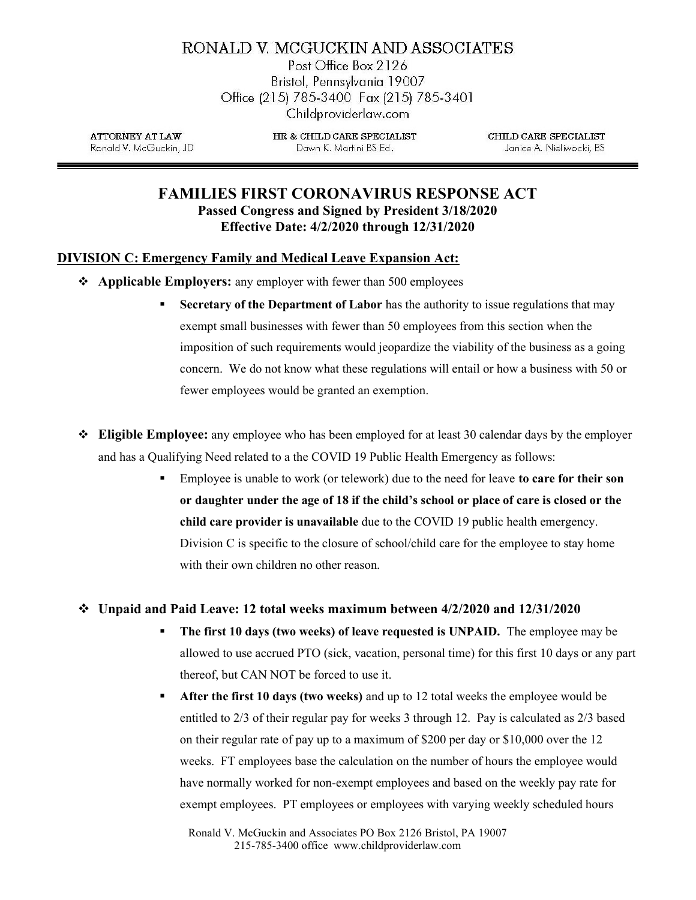# RONALD V. MCGUCKIN AND ASSOCIATES

Post Office Box 2126 Bristol, Pennsylvania 19007 Office (215) 785-3400 Fax (215) 785-3401 Childproviderlaw.com

**ATTORNEY AT LAW** Ronald V. McGuckin, JD HR & CHILD CARE SPECIALIST Dawn K. Martini BS Ed.

CHILD CARE SPECIALIST Janice A. Nieliwocki, BS

## FAMILIES FIRST CORONAVIRUS RESPONSE ACT Passed Congress and Signed by President 3/18/2020 Effective Date: 4/2/2020 through 12/31/2020

## DIVISION C: Emergency Family and Medical Leave Expansion Act:

- Applicable Employers: any employer with fewer than 500 employees
	- **Secretary of the Department of Labor** has the authority to issue regulations that may exempt small businesses with fewer than 50 employees from this section when the imposition of such requirements would jeopardize the viability of the business as a going concern. We do not know what these regulations will entail or how a business with 50 or fewer employees would be granted an exemption.
- $\div$  Eligible Employee: any employee who has been employed for at least 30 calendar days by the employer and has a Qualifying Need related to a the COVID 19 Public Health Emergency as follows:
	- **Employee is unable to work (or telework) due to the need for leave to care for their son** or daughter under the age of 18 if the child's school or place of care is closed or the child care provider is unavailable due to the COVID 19 public health emergency. Division C is specific to the closure of school/child care for the employee to stay home with their own children no other reason.

## $\div$  Unpaid and Paid Leave: 12 total weeks maximum between 4/2/2020 and 12/31/2020

- **The first 10 days (two weeks) of leave requested is UNPAID.** The employee may be allowed to use accrued PTO (sick, vacation, personal time) for this first 10 days or any part thereof, but CAN NOT be forced to use it.
- After the first 10 days (two weeks) and up to 12 total weeks the employee would be entitled to 2/3 of their regular pay for weeks 3 through 12. Pay is calculated as 2/3 based on their regular rate of pay up to a maximum of \$200 per day or \$10,000 over the 12 weeks. FT employees base the calculation on the number of hours the employee would have normally worked for non-exempt employees and based on the weekly pay rate for exempt employees. PT employees or employees with varying weekly scheduled hours

Ronald V. McGuckin and Associates PO Box 2126 Bristol, PA 19007 215-785-3400 office www.childproviderlaw.com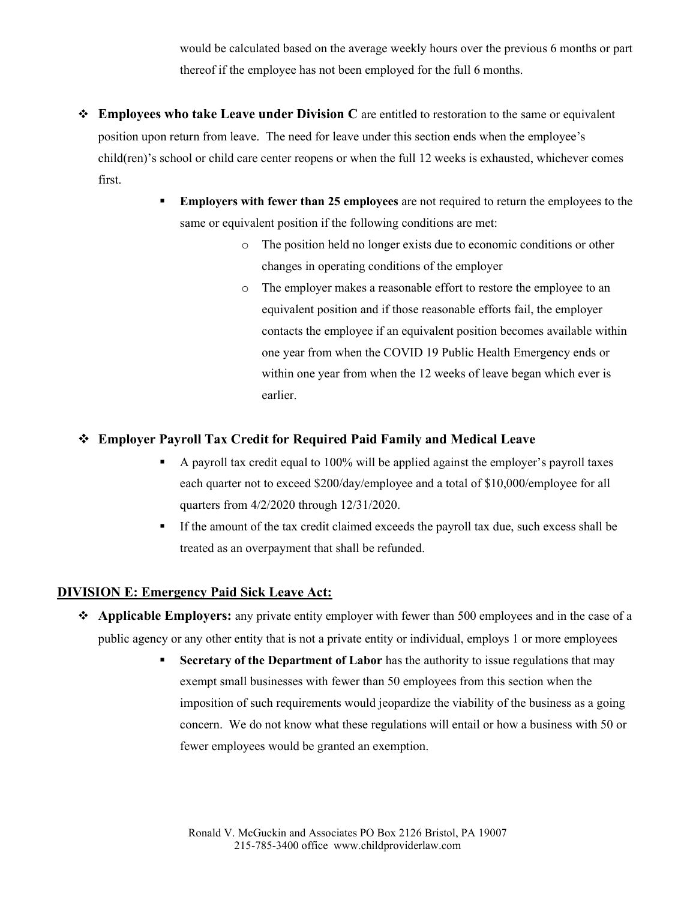would be calculated based on the average weekly hours over the previous 6 months or part thereof if the employee has not been employed for the full 6 months.

- $\triangleleft$  Employees who take Leave under Division C are entitled to restoration to the same or equivalent position upon return from leave. The need for leave under this section ends when the employee's child(ren)'s school or child care center reopens or when the full 12 weeks is exhausted, whichever comes first.
	- **Employers with fewer than 25 employees** are not required to return the employees to the same or equivalent position if the following conditions are met:
		- o The position held no longer exists due to economic conditions or other changes in operating conditions of the employer
		- o The employer makes a reasonable effort to restore the employee to an equivalent position and if those reasonable efforts fail, the employer contacts the employee if an equivalent position becomes available within one year from when the COVID 19 Public Health Emergency ends or within one year from when the 12 weeks of leave began which ever is earlier.

## Employer Payroll Tax Credit for Required Paid Family and Medical Leave

- $\blacksquare$  A payroll tax credit equal to 100% will be applied against the employer's payroll taxes each quarter not to exceed \$200/day/employee and a total of \$10,000/employee for all quarters from 4/2/2020 through 12/31/2020.
- If the amount of the tax credit claimed exceeds the payroll tax due, such excess shall be treated as an overpayment that shall be refunded.

## DIVISION E: Emergency Paid Sick Leave Act:

- \* Applicable Employers: any private entity employer with fewer than 500 employees and in the case of a public agency or any other entity that is not a private entity or individual, employs 1 or more employees
	- Secretary of the Department of Labor has the authority to issue regulations that may exempt small businesses with fewer than 50 employees from this section when the imposition of such requirements would jeopardize the viability of the business as a going concern. We do not know what these regulations will entail or how a business with 50 or fewer employees would be granted an exemption.